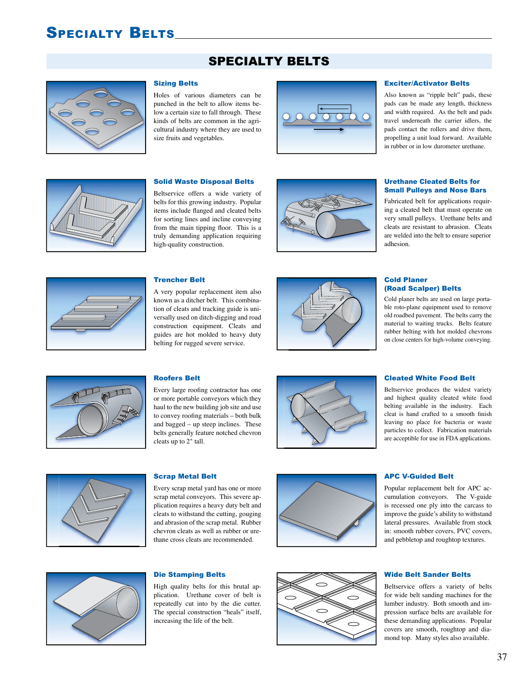# SPECIALTY BELTS

# SPECIALTY BELTS



### Sizing Belts

Holes of various diameters can be punched in the belt to allow items below a certain size to fall through. These kinds of belts are common in the agricultural industry where they are used to size fruits and vegetables.



### Exciter/Activator Belts

Also known as "ripple belt" pads, these pads can be made any length, thickness and width required. As the belt and pads travel underneath the carrier idlers, the pads contact the rollers and drive them, propelling a unit load forward. Available in rubber or in low durometer urethane.



#### Solid Waste Disposal Belts

Beltservice offers a wide variety of belts for this growing industry. Popular items include flanged and cleated belts for sorting lines and incline conveying from the main tipping floor. This is a truly demanding application requiring high-quality construction.



#### Urethane Cleated Belts for Small Pulleys and Nose Bars

Fabricated belt for applications requiring a cleated belt that must operate on very small pulleys. Urethane belts and cleats are resistant to abrasion. Cleats are welded into the belt to ensure superior adhesion.



#### Trencher Belt

A very popular replacement item also known as a ditcher belt. This combination of cleats and tracking guide is universally used on ditch-digging and road construction equipment. Cleats and guides are hot molded to heavy duty belting for rugged severe service.



#### Cold Planer (Road Scalper) Belts

Cold planer belts are used on large portable roto-plane equipment used to remove old roadbed pavement. The belts carry the material to waiting trucks. Belts feature rubber belting with hot molded chevrons on close centers for high-volume conveying.



#### Roofers Belt

Every large roofing contractor has one or more portable conveyors which they haul to the new building job site and use to convey roofing materials – both bulk and bagged – up steep inclines. These belts generally feature notched chevron cleats up to 2" tall.



#### Cleated White Food Belt

Beltservice produces the widest variety and highest quality cleated white food belting available in the industry. Each cleat is hand crafted to a smooth finish leaving no place for bacteria or waste particles to collect. Fabrication materials are acceptible for use in FDA applications.



#### Scrap Metal Belt

Every scrap metal yard has one or more scrap metal conveyors. This severe application requires a heavy duty belt and cleats to withstand the cutting, gouging and abrasion of the scrap metal. Rubber chevron cleats as well as rubber or urethane cross cleats are recommended.



#### APC V-Guided Belt

Popular replacement belt for APC accumulation conveyors. The V-guide is recessed one ply into the carcass to improve the guide's ability to withstand lateral pressures. Available from stock in: smooth rubber covers, PVC covers, and pebbletop and roughtop textures.

### Wide Belt Sander Belts

Beltservice offers a variety of belts for wide belt sanding machines for the lumber industry. Both smooth and impression surface belts are available for these demanding applications. Popular covers are smooth, roughtop and diamond top. Many styles also available.



#### Die Stamping Belts

High quality belts for this brutal application. Urethane cover of belt is repeatedly cut into by the die cutter. The special construction "heals" itself, increasing the life of the belt.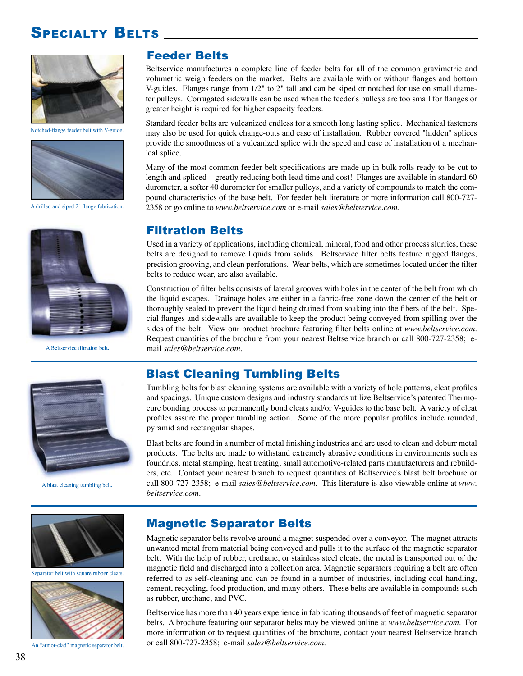# SPECIALTY BELTS



Notched-flange feeder belt with V-guide.



A drilled and siped 2" flange fabrication.

### Feeder Belts

Beltservice manufactures a complete line of feeder belts for all of the common gravimetric and volumetric weigh feeders on the market. Belts are available with or without flanges and bottom V-guides. Flanges range from 1/2" to 2" tall and can be siped or notched for use on small diameter pulleys. Corrugated sidewalls can be used when the feeder's pulleys are too small for flanges or greater height is required for higher capacity feeders.

Standard feeder belts are vulcanized endless for a smooth long lasting splice. Mechanical fasteners may also be used for quick change-outs and ease of installation. Rubber covered "hidden" splices provide the smoothness of a vulcanized splice with the speed and ease of installation of a mechanical splice.

Many of the most common feeder belt specifications are made up in bulk rolls ready to be cut to length and spliced – greatly reducing both lead time and cost! Flanges are available in standard 60 durometer, a softer 40 durometer for smaller pulleys, and a variety of compounds to match the compound characteristics of the base belt. For feeder belt literature or more information call 800-727- 2358 or go online to *www.beltservice.com* or e-mail *sales@beltservice.com*.



A Beltservice filtration belt.

### Filtration Belts

Used in a variety of applications, including chemical, mineral, food and other process slurries, these belts are designed to remove liquids from solids. Beltservice filter belts feature rugged flanges, precision grooving, and clean perforations. Wear belts, which are sometimes located under the filter belts to reduce wear, are also available.

Construction of filter belts consists of lateral grooves with holes in the center of the belt from which the liquid escapes. Drainage holes are either in a fabric-free zone down the center of the belt or thoroughly sealed to prevent the liquid being drained from soaking into the fibers of the belt. Special flanges and sidewalls are available to keep the product being conveyed from spilling over the sides of the belt. View our product brochure featuring filter belts online at *www.beltservice.com*. Request quantities of the brochure from your nearest Beltservice branch or call 800-727-2358; email *sales@beltservice.com*.



A blast cleaning tumbling belt.

# Blast Cleaning Tumbling Belts

Tumbling belts for blast cleaning systems are available with a variety of hole patterns, cleat profiles and spacings. Unique custom designs and industry standards utilize Beltservice's patented Thermocure bonding process to permanently bond cleats and/or V-guides to the base belt. A variety of cleat profiles assure the proper tumbling action. Some of the more popular profiles include rounded, pyramid and rectangular shapes.

Blast belts are found in a number of metal finishing industries and are used to clean and deburr metal products. The belts are made to withstand extremely abrasive conditions in environments such as foundries, metal stamping, heat treating, small automotive-related parts manufacturers and rebuilders, etc. Contact your nearest branch to request quantities of Beltservice's blast belt brochure or call 800-727-2358; e-mail *sales@beltservice.com*. This literature is also viewable online at *www. beltservice.com*.



Separator belt with square rubber cleats.



An "armor-clad" magnetic separator belt.

### Magnetic Separator Belts

Magnetic separator belts revolve around a magnet suspended over a conveyor. The magnet attracts unwanted metal from material being conveyed and pulls it to the surface of the magnetic separator belt. With the help of rubber, urethane, or stainless steel cleats, the metal is transported out of the magnetic field and discharged into a collection area. Magnetic separators requiring a belt are often referred to as self-cleaning and can be found in a number of industries, including coal handling, cement, recycling, food production, and many others. These belts are available in compounds such as rubber, urethane, and PVC.

Beltservice has more than 40 years experience in fabricating thousands of feet of magnetic separator belts. A brochure featuring our separator belts may be viewed online at *www.beltservice.com*. For more information or to request quantities of the brochure, contact your nearest Beltservice branch or call 800-727-2358; e-mail *sales@beltservice.com*.